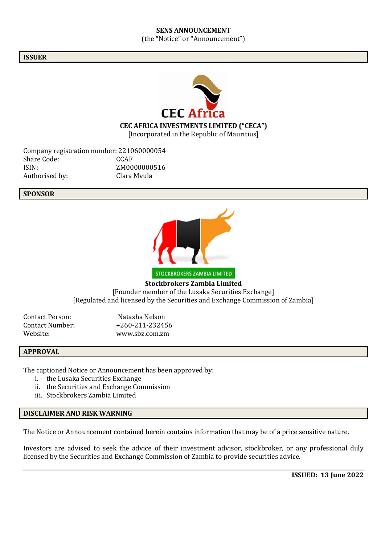## **SENS ANNOUNCEMENT** (the "Notice" or "Announcement")

#### **ISSUER**



**CEC AFRICA INVESTMENTS LIMITED ("CECA")**

[Incorporated in the Republic of Mauritius]

Company registration number: 221060000054<br>Share Code: CCAF Share Code: ISIN: ZM0000000516 Authorised by: Clara Mvula

## **SPONSOR**



**Stockbrokers Zambia Limited** [Founder member of the Lusaka Securities Exchange] [Regulated and licensed by the Securities and Exchange Commission of Zambia]

Contact Person: Natasha Nelson Contact Number: +260-211-232456 Website: www.sbz.com.zm

## **APPROVAL**

The captioned Notice or Announcement has been approved by:

- i. the Lusaka Securities Exchange
- ii. the Securities and Exchange Commission
- iii. Stockbrokers Zambia Limited

# **DISCLAIMER AND RISK WARNING**

The Notice or Announcement contained herein contains information that may be of a price sensitive nature.

Investors are advised to seek the advice of their investment advisor, stockbroker, or any professional duly licensed by the Securities and Exchange Commission of Zambia to provide securities advice.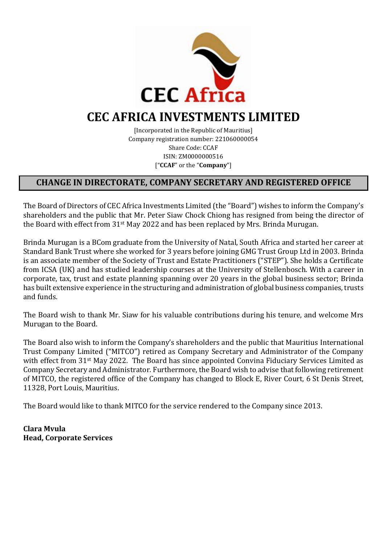

# **CEC AFRICA INVESTMENTS LIMITED**

[Incorporated in the Republic of Mauritius] Company registration number: 221060000054 Share Code: CCAF ISIN: ZM0000000516 ["**CCAF**" or the "**Company**"]

# **CHANGE IN DIRECTORATE, COMPANY SECRETARY AND REGISTERED OFFICE**

The Board of Directors of CEC Africa Investments Limited (the "Board") wishes to inform the Company's shareholders and the public that Mr. Peter Siaw Chock Chiong has resigned from being the director of the Board with effect from 31st May 2022 and has been replaced by Mrs. Brinda Murugan.

Brinda Murugan is a BCom graduate from the University of Natal, South Africa and started her career at Standard Bank Trust where she worked for 3 years before joining GMG Trust Group Ltd in 2003. Brinda is an associate member of the Society of Trust and Estate Practitioners ("STEP"). She holds a Certificate from ICSA (UK) and has studied leadership courses at the University of Stellenbosch. With a career in corporate, tax, trust and estate planning spanning over 20 years in the global business sector; Brinda has built extensive experience in the structuring and administration of global business companies, trusts and funds.

The Board wish to thank Mr. Siaw for his valuable contributions during his tenure, and welcome Mrs Murugan to the Board.

The Board also wish to inform the Company's shareholders and the public that Mauritius International Trust Company Limited ("MITCO") retired as Company Secretary and Administrator of the Company with effect from 31<sup>st</sup> May 2022. The Board has since appointed Convina Fiduciary Services Limited as Company Secretary and Administrator. Furthermore, the Board wish to advise that following retirement of MITCO, the registered office of the Company has changed to Block E, River Court, 6 St Denis Street, 11328, Port Louis, Mauritius.

The Board would like to thank MITCO for the service rendered to the Company since 2013.

**Clara Mvula Head, Corporate Services**